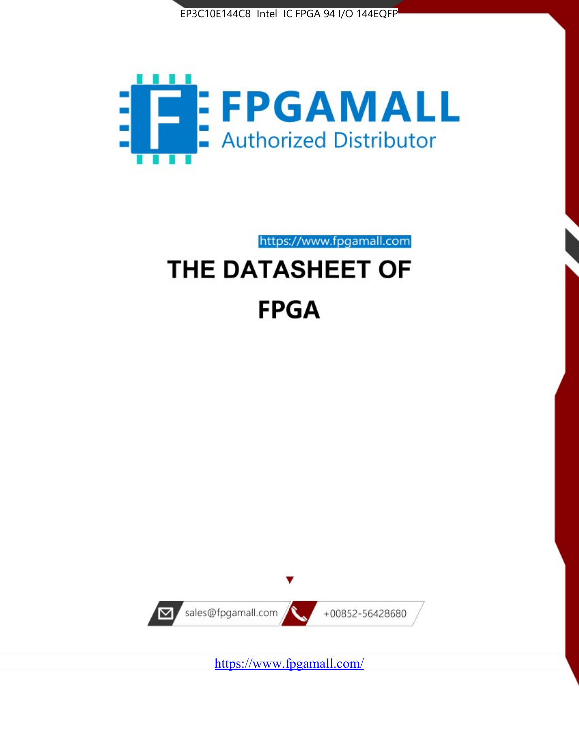



https://www.fpgamall.com

# THE DATASHEET OF **FPGA**



<https://www.fpgamall.com/>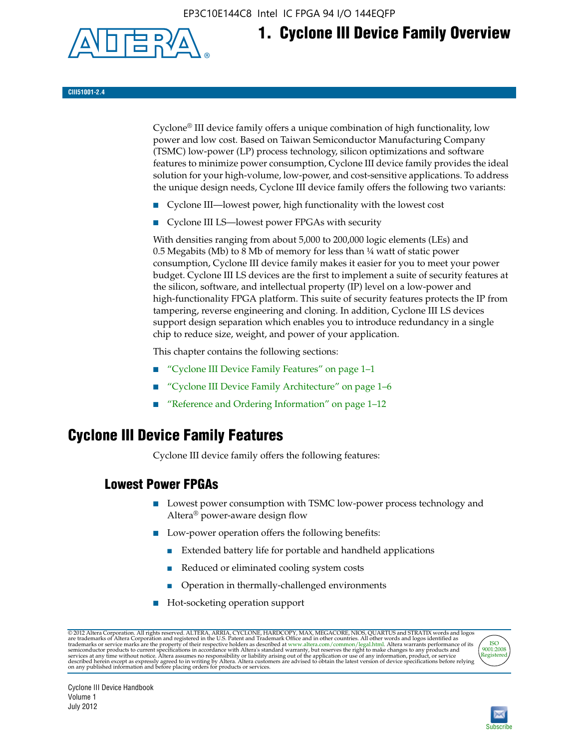EP3C10E144C8 Intel IC FPGA 94 I/O 144EQFP



# **1. Cyclone III Device Family Overview**

#### **CIII51001-2.4**

Cyclone® III device family offers a unique combination of high functionality, low power and low cost. Based on Taiwan Semiconductor Manufacturing Company (TSMC) low-power (LP) process technology, silicon optimizations and software features to minimize power consumption, Cyclone III device family provides the ideal solution for your high-volume, low-power, and cost-sensitive applications. To address the unique design needs, Cyclone III device family offers the following two variants:

- Cyclone III—lowest power, high functionality with the lowest cost
- Cyclone III LS—lowest power FPGAs with security

With densities ranging from about 5,000 to 200,000 logic elements (LEs) and 0.5 Megabits (Mb) to 8 Mb of memory for less than  $\frac{1}{4}$  watt of static power consumption, Cyclone III device family makes it easier for you to meet your power budget. Cyclone III LS devices are the first to implement a suite of security features at the silicon, software, and intellectual property (IP) level on a low-power and high-functionality FPGA platform. This suite of security features protects the IP from tampering, reverse engineering and cloning. In addition, Cyclone III LS devices support design separation which enables you to introduce redundancy in a single chip to reduce size, weight, and power of your application.

This chapter contains the following sections:

- "Cyclone III Device Family Features" on page 1–1
- "Cyclone III Device Family Architecture" on page 1–6
- "Reference and Ordering Information" on page 1–12

## **Cyclone III Device Family Features**

Cyclone III device family offers the following features:

#### **Lowest Power FPGAs**

- Lowest power consumption with TSMC low-power process technology and Altera® power-aware design flow
- Low-power operation offers the following benefits:
	- Extended battery life for portable and handheld applications
	- Reduced or eliminated cooling system costs
	- Operation in thermally-challenged environments
- Hot-socketing operation support

@ 2012 Altera Corporation. All rights reserved. ALTERA, ARRIA, CYCLONE, HARDCOPY, MAX, MEGACORE, NIOS, QUARTUS and STRATIX words and logos are trademarks of Altera Corporation and registered in the U.S. Patent and Trademar



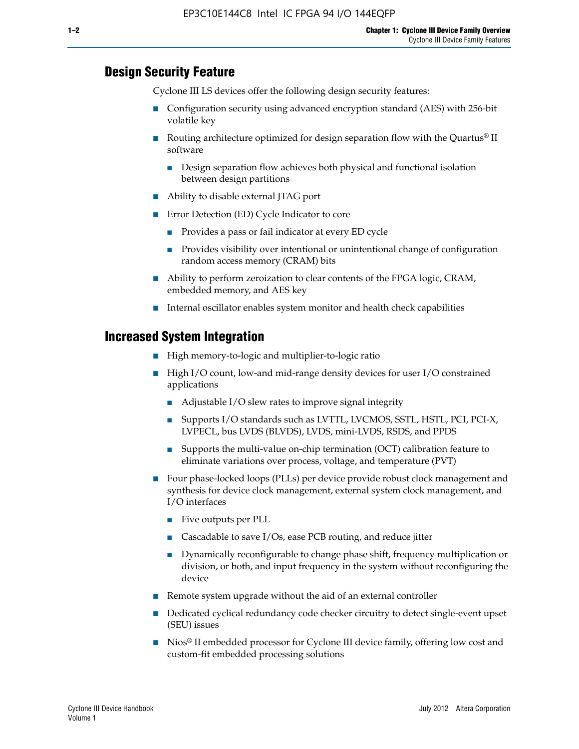#### **Design Security Feature**

Cyclone III LS devices offer the following design security features:

- Configuration security using advanced encryption standard (AES) with 256-bit volatile key
- **■** Routing architecture optimized for design separation flow with the Quartus<sup>®</sup> II software
	- Design separation flow achieves both physical and functional isolation between design partitions
- Ability to disable external JTAG port
- Error Detection (ED) Cycle Indicator to core
	- Provides a pass or fail indicator at every ED cycle
	- Provides visibility over intentional or unintentional change of configuration random access memory (CRAM) bits
- Ability to perform zeroization to clear contents of the FPGA logic, CRAM, embedded memory, and AES key
- Internal oscillator enables system monitor and health check capabilities

#### **Increased System Integration**

- High memory-to-logic and multiplier-to-logic ratio
- High I/O count, low-and mid-range density devices for user I/O constrained applications
	- Adjustable I/O slew rates to improve signal integrity
	- Supports I/O standards such as LVTTL, LVCMOS, SSTL, HSTL, PCI, PCI-X, LVPECL, bus LVDS (BLVDS), LVDS, mini-LVDS, RSDS, and PPDS
	- Supports the multi-value on-chip termination (OCT) calibration feature to eliminate variations over process, voltage, and temperature (PVT)
- Four phase-locked loops (PLLs) per device provide robust clock management and synthesis for device clock management, external system clock management, and I/O interfaces
	- Five outputs per PLL
	- Cascadable to save I/Os, ease PCB routing, and reduce jitter
	- Dynamically reconfigurable to change phase shift, frequency multiplication or division, or both, and input frequency in the system without reconfiguring the device
- Remote system upgrade without the aid of an external controller
- Dedicated cyclical redundancy code checker circuitry to detect single-event upset (SEU) issues
- Nios<sup>®</sup> II embedded processor for Cyclone III device family, offering low cost and custom-fit embedded processing solutions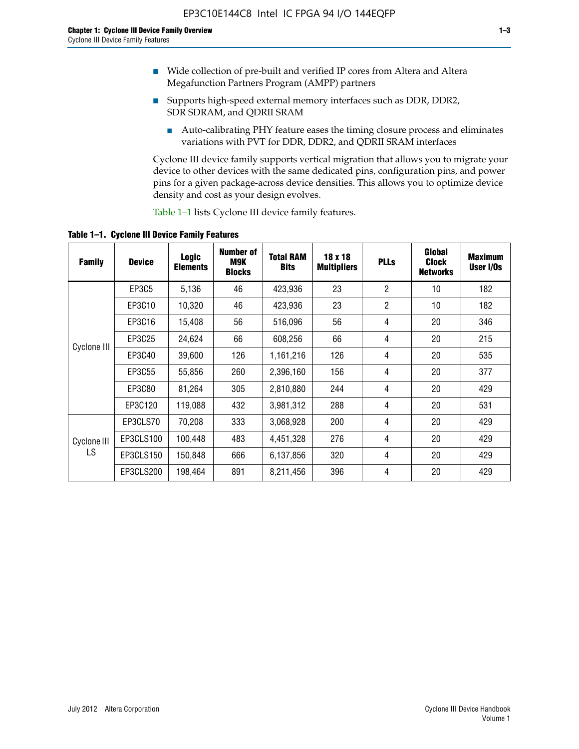- Wide collection of pre-built and verified IP cores from Altera and Altera Megafunction Partners Program (AMPP) partners
- Supports high-speed external memory interfaces such as DDR, DDR2, SDR SDRAM, and QDRII SRAM
	- Auto-calibrating PHY feature eases the timing closure process and eliminates variations with PVT for DDR, DDR2, and QDRII SRAM interfaces

Cyclone III device family supports vertical migration that allows you to migrate your device to other devices with the same dedicated pins, configuration pins, and power pins for a given package-across device densities. This allows you to optimize device density and cost as your design evolves.

Table 1–1 lists Cyclone III device family features.

**Table 1–1. Cyclone III Device Family Features**

| <b>Family</b>     | <b>Device</b> | Logic<br><b>Elements</b> | <b>Number of</b><br>M9K<br><b>Blocks</b> | <b>Total RAM</b><br><b>Bits</b> | 18 x 18<br><b>Multipliers</b> | <b>PLLs</b>    | Global<br><b>Clock</b><br><b>Networks</b> | <b>Maximum</b><br>User I/Os |
|-------------------|---------------|--------------------------|------------------------------------------|---------------------------------|-------------------------------|----------------|-------------------------------------------|-----------------------------|
|                   | <b>EP3C5</b>  | 5,136                    | 46                                       | 423,936                         | 23                            | $\overline{2}$ | 10                                        | 182                         |
|                   | EP3C10        | 10,320                   | 46                                       | 423,936                         | 23                            | $\overline{2}$ | 10                                        | 182                         |
|                   | EP3C16        | 15,408                   | 56                                       | 516,096                         | 56                            | 4              | 20                                        | 346                         |
| Cyclone III       | EP3C25        | 24,624                   | 66                                       | 608,256                         | 66                            | 4              | 20                                        | 215                         |
|                   | EP3C40        | 39,600                   | 126                                      | 1,161,216                       | 126                           | 4              | 20                                        | 535                         |
|                   | EP3C55        | 55,856                   | 260                                      | 2,396,160                       | 156                           | 4              | 20                                        | 377                         |
|                   | EP3C80        | 81,264                   | 305                                      | 2,810,880                       | 244                           | 4              | 20                                        | 429                         |
|                   | EP3C120       | 119,088                  | 432                                      | 3,981,312                       | 288                           | 4              | 20                                        | 531                         |
|                   | EP3CLS70      | 70,208                   | 333                                      | 3,068,928                       | 200                           | 4              | 20                                        | 429                         |
| Cyclone III<br>LS | EP3CLS100     | 100,448                  | 483                                      | 4,451,328                       | 276                           | 4              | 20                                        | 429                         |
|                   | EP3CLS150     | 150,848                  | 666                                      | 6,137,856                       | 320                           | 4              | 20                                        | 429                         |
|                   | EP3CLS200     | 198,464                  | 891                                      | 8,211,456                       | 396                           | 4              | 20                                        | 429                         |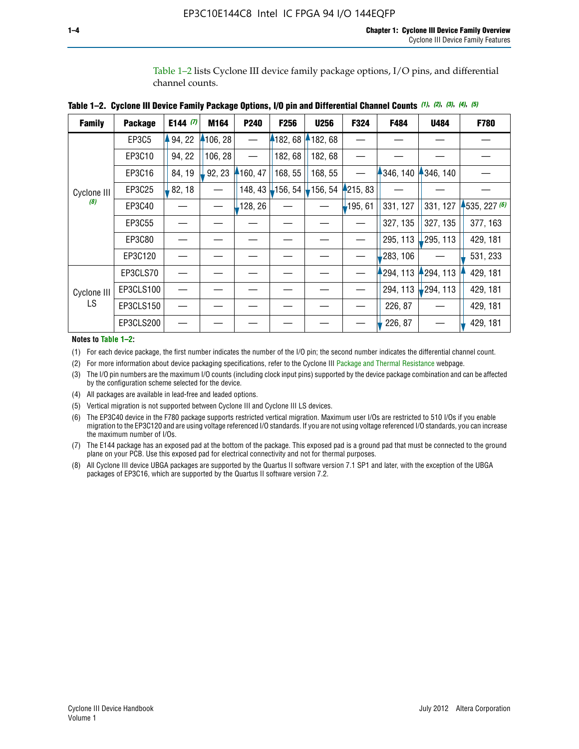Table 1–2 lists Cyclone III device family package options, I/O pins, and differential channel counts.

| Table 1–2. Cyclone III Device Family Package Options, I/O pin and Differential Channel Counts (1), (2), (3), (4), (5) |  |
|-----------------------------------------------------------------------------------------------------------------------|--|
|-----------------------------------------------------------------------------------------------------------------------|--|

| <b>Family</b>      | <b>Package</b> | E144 $(7)$ | M164     | P240    | F256    | <b>U256</b> | F324     | F484     | <b>U484</b> | F780           |
|--------------------|----------------|------------|----------|---------|---------|-------------|----------|----------|-------------|----------------|
|                    | EP3C5          | 94, 22     | 4106, 28 |         | 182, 68 | 182, 68     |          |          |             |                |
| Cyclone III<br>(8) | EP3C10         | 94, 22     | 106, 28  |         | 182, 68 | 182, 68     |          |          |             |                |
|                    | EP3C16         | 84, 19     | 92, 23   | 160, 47 | 168, 55 | 168, 55     |          | 346, 140 | 4346, 140   |                |
|                    | EP3C25         | 82, 18     |          | 148, 43 | 156, 54 | 156, 54     | 4215, 83 |          |             |                |
|                    | EP3C40         |            |          | 128, 26 |         |             | 195, 61  | 331, 127 | 331, 127    | $-535, 227(6)$ |
|                    | EP3C55         |            |          |         |         |             |          | 327, 135 | 327, 135    | 377, 163       |
|                    | EP3C80         |            |          |         |         |             |          | 295, 113 | ,295, 113   | 429, 181       |
|                    | EP3C120        |            |          |         |         |             |          | 283, 106 |             | 531, 233       |
|                    | EP3CLS70       |            |          |         |         |             |          | 294, 113 | 4294, 113   | 429, 181       |
| Cyclone III<br>LS  | EP3CLS100      |            |          |         |         |             |          | 294, 113 | 294, 113    | 429, 181       |
|                    | EP3CLS150      |            |          |         |         |             |          | 226, 87  |             | 429, 181       |
|                    | EP3CLS200      |            |          |         |         |             |          | 226, 87  |             | 429, 181       |

**Notes to Table 1–2:**

(1) For each device package, the first number indicates the number of the I/O pin; the second number indicates the differential channel count.

(2) For more information about device packaging specifications, refer to the Cyclone III [Package and Thermal Resistance](http://www.altera.com/support/devices/packaging/specifications/pkg-pin/dev-package-listing.jsp?device=Cyclone_III) webpage.

(3) The I/O pin numbers are the maximum I/O counts (including clock input pins) supported by the device package combination and can be affected by the configuration scheme selected for the device.

(4) All packages are available in lead-free and leaded options.

(5) Vertical migration is not supported between Cyclone III and Cyclone III LS devices.

(6) The EP3C40 device in the F780 package supports restricted vertical migration. Maximum user I/Os are restricted to 510 I/Os if you enable migration to the EP3C120 and are using voltage referenced I/O standards. If you are not using voltage referenced I/O standards, you can increase the maximum number of I/Os.

(7) The E144 package has an exposed pad at the bottom of the package. This exposed pad is a ground pad that must be connected to the ground plane on your PCB. Use this exposed pad for electrical connectivity and not for thermal purposes.

(8) All Cyclone III device UBGA packages are supported by the Quartus II software version 7.1 SP1 and later, with the exception of the UBGA packages of EP3C16, which are supported by the Quartus II software version 7.2.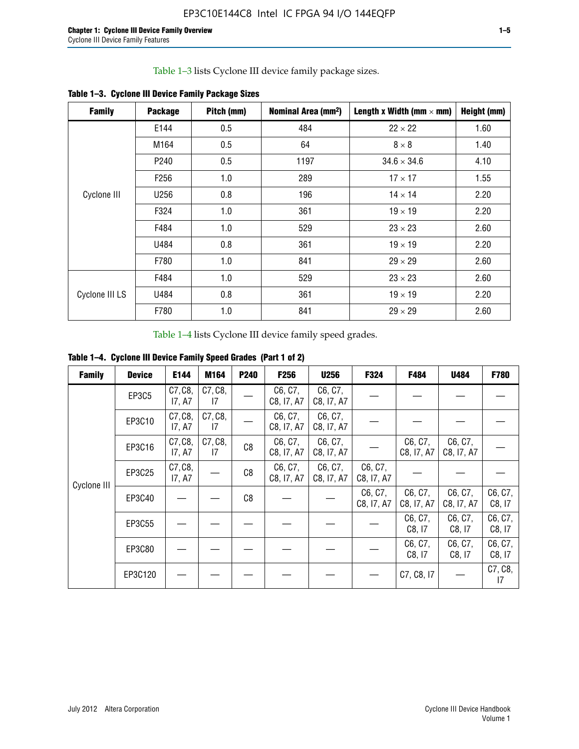Table 1–3 lists Cyclone III device family package sizes.

| <b>Family</b>  | <b>Package</b>   | Pitch (mm) | Nominal Area (mm <sup>2</sup> ) | Length x Width (mm $\times$ mm) | Height (mm) |
|----------------|------------------|------------|---------------------------------|---------------------------------|-------------|
|                | E144             | 0.5        | 484                             | $22 \times 22$                  | 1.60        |
| Cyclone III    | M164             | 0.5        | 64                              | $8 \times 8$                    | 1.40        |
|                | P <sub>240</sub> | 0.5        | 1197                            | $34.6 \times 34.6$              | 4.10        |
|                | F <sub>256</sub> | 1.0        | 289                             | $17 \times 17$                  | 1.55        |
|                | U256             | 0.8        | 196                             | $14 \times 14$                  | 2.20        |
|                | F324             | 1.0        | 361                             | $19 \times 19$                  | 2.20        |
|                | F484             | 1.0        | 529                             | $23 \times 23$                  | 2.60        |
|                | U484             | 0.8        | 361                             | $19 \times 19$                  | 2.20        |
|                | F780             | 1.0        | 841                             | $29 \times 29$                  | 2.60        |
| Cyclone III LS | F484             | 1.0        | 529                             | $23 \times 23$                  | 2.60        |
|                | U484             | 0.8        | 361                             | $19 \times 19$                  | 2.20        |
|                | F780             | 1.0        | 841                             | $29 \times 29$                  | 2.60        |

**Table 1–3. Cyclone III Device Family Package Sizes**

Table 1–4 lists Cyclone III device family speed grades.

**Table 1–4. Cyclone III Device Family Speed Grades (Part 1 of 2)**

| <b>Family</b> | <b>Device</b> | E144              | M164          | <b>P240</b> | <b>F256</b>           | <b>U256</b>           | F324                  | F484                  | U484                  | <b>F780</b>       |
|---------------|---------------|-------------------|---------------|-------------|-----------------------|-----------------------|-----------------------|-----------------------|-----------------------|-------------------|
|               | EP3C5         | C7, C8,<br>17, A7 | C7, C8,<br>17 |             | C6, C7,<br>C8, I7, A7 | C6, C7,<br>C8, I7, A7 |                       |                       |                       |                   |
|               | EP3C10        | C7, C8,<br>17, A7 | C7, C8,<br>17 |             | C6, C7,<br>C8, I7, A7 | C6, C7,<br>C8, I7, A7 |                       |                       |                       |                   |
|               | EP3C16        | C7, C8,<br>17, A7 | C7, C8,<br>17 | C8          | C6, C7,<br>C8, I7, A7 | C6, C7,<br>C8, I7, A7 |                       | C6, C7,<br>C8, I7, A7 | C6, C7,<br>C8, I7, A7 |                   |
| Cyclone III   | EP3C25        | C7, C8,<br>17, A7 |               | C8          | C6, C7,<br>C8, I7, A7 | C6, C7,<br>C8, I7, A7 | C6, C7,<br>C8, I7, A7 |                       |                       |                   |
|               | EP3C40        |                   |               | C8          |                       |                       | C6, C7,<br>C8, I7, A7 | C6, C7,<br>C8, I7, A7 | C6, C7,<br>C8, I7, A7 | C6, C7,<br>C8, 17 |
|               | EP3C55        |                   |               |             |                       |                       |                       | C6, C7,<br>C8, I7     | C6, C7,<br>C8, 17     | C6, C7,<br>C8, 17 |
|               | EP3C80        |                   |               |             |                       |                       |                       | C6, C7,<br>C8, 17     | C6, C7,<br>C8, 17     | C6, C7,<br>C8, 17 |
|               | EP3C120       |                   |               |             |                       |                       |                       | C7, C8, I7            |                       | C7, C8,<br>17     |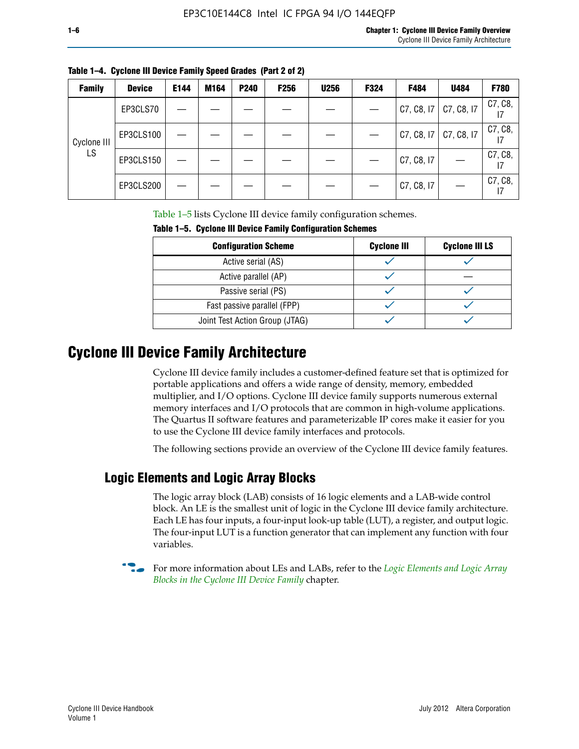| <b>Family</b> | <b>Device</b> | E144 | M164 | <b>P240</b> | <b>F256</b> | <b>U256</b> | F324 | F484                      | U484       | F780          |
|---------------|---------------|------|------|-------------|-------------|-------------|------|---------------------------|------------|---------------|
| Cyclone III   | EP3CLS70      |      |      |             |             |             |      | $C7, C8, 17$ $C7, C8, 17$ |            | C7, C8,       |
|               | EP3CLS100     |      |      |             |             |             |      | C7, C8, 17                | C7, C8, I7 | C7, C8,       |
| LS            | EP3CLS150     |      |      |             |             |             |      | C7, C8, I7                |            | C7, C8,<br>17 |
|               | EP3CLS200     |      |      |             |             |             |      | C7, C8, I7                |            | C7, C8,<br>17 |

**Table 1–4. Cyclone III Device Family Speed Grades (Part 2 of 2)**

Table 1–5 lists Cyclone III device family configuration schemes.

| <b>IQUIE 1-3. CYCLUILE III DEVICE FAILIIV CUILILUILATION SCIIENIES</b> |                    |                       |  |  |
|------------------------------------------------------------------------|--------------------|-----------------------|--|--|
| <b>Configuration Scheme</b>                                            | <b>Cyclone III</b> | <b>Cyclone III LS</b> |  |  |
| Active serial (AS)                                                     |                    |                       |  |  |
| Active parallel (AP)                                                   |                    |                       |  |  |
| Passive serial (PS)                                                    |                    |                       |  |  |
| Fast passive parallel (FPP)                                            |                    |                       |  |  |
| Joint Test Action Group (JTAG)                                         |                    |                       |  |  |

**Table 1–5. Cyclone III Device Family Configuration Schemes**

## **Cyclone III Device Family Architecture**

Cyclone III device family includes a customer-defined feature set that is optimized for portable applications and offers a wide range of density, memory, embedded multiplier, and I/O options. Cyclone III device family supports numerous external memory interfaces and I/O protocols that are common in high-volume applications. The Quartus II software features and parameterizable IP cores make it easier for you to use the Cyclone III device family interfaces and protocols.

The following sections provide an overview of the Cyclone III device family features.

#### **Logic Elements and Logic Array Blocks**

The logic array block (LAB) consists of 16 logic elements and a LAB-wide control block. An LE is the smallest unit of logic in the Cyclone III device family architecture. Each LE has four inputs, a four-input look-up table (LUT), a register, and output logic. The four-input LUT is a function generator that can implement any function with four variables.

f For more information about LEs and LABs, refer to the *[Logic Elements and Logic Array](http://www.altera.com/literature/hb/cyc3/cyc3_ciii51002.pdf)  [Blocks in the Cyclone III Device Family](http://www.altera.com/literature/hb/cyc3/cyc3_ciii51002.pdf)* chapter.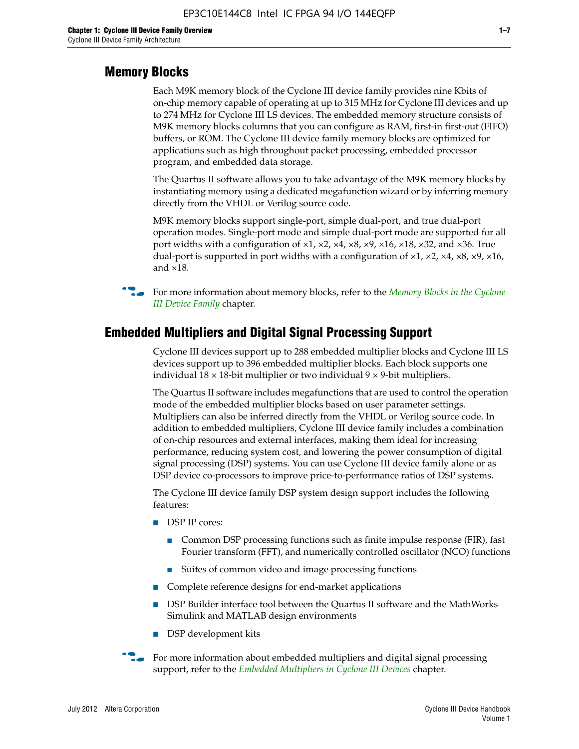#### **Memory Blocks**

Each M9K memory block of the Cyclone III device family provides nine Kbits of on-chip memory capable of operating at up to 315 MHz for Cyclone III devices and up to 274 MHz for Cyclone III LS devices. The embedded memory structure consists of M9K memory blocks columns that you can configure as RAM, first-in first-out (FIFO) buffers, or ROM. The Cyclone III device family memory blocks are optimized for applications such as high throughout packet processing, embedded processor program, and embedded data storage.

The Quartus II software allows you to take advantage of the M9K memory blocks by instantiating memory using a dedicated megafunction wizard or by inferring memory directly from the VHDL or Verilog source code.

M9K memory blocks support single-port, simple dual-port, and true dual-port operation modes. Single-port mode and simple dual-port mode are supported for all port widths with a configuration of  $\times1$ ,  $\times2$ ,  $\times4$ ,  $\times8$ ,  $\times9$ ,  $\times16$ ,  $\times18$ ,  $\times32$ , and  $\times36$ . True dual-port is supported in port widths with a configuration of  $\times$ 1,  $\times$ 2,  $\times$ 4,  $\times$ 8,  $\times$ 9,  $\times$ 16, and ×18.



**For more information about memory blocks, refer to the** *Memory Blocks in the Cyclone [III Device Family](http://www.altera.com/literature/hb/cyc3/cyc3_ciii51004.pdf)* chapter.

#### **Embedded Multipliers and Digital Signal Processing Support**

Cyclone III devices support up to 288 embedded multiplier blocks and Cyclone III LS devices support up to 396 embedded multiplier blocks. Each block supports one individual  $18 \times 18$ -bit multiplier or two individual  $9 \times 9$ -bit multipliers.

The Quartus II software includes megafunctions that are used to control the operation mode of the embedded multiplier blocks based on user parameter settings. Multipliers can also be inferred directly from the VHDL or Verilog source code. In addition to embedded multipliers, Cyclone III device family includes a combination of on-chip resources and external interfaces, making them ideal for increasing performance, reducing system cost, and lowering the power consumption of digital signal processing (DSP) systems. You can use Cyclone III device family alone or as DSP device co-processors to improve price-to-performance ratios of DSP systems.

The Cyclone III device family DSP system design support includes the following features:

- DSP IP cores:
	- Common DSP processing functions such as finite impulse response (FIR), fast Fourier transform (FFT), and numerically controlled oscillator (NCO) functions
	- Suites of common video and image processing functions
- Complete reference designs for end-market applications
- DSP Builder interface tool between the Quartus II software and the MathWorks Simulink and MATLAB design environments
- DSP development kits
- For more information about embedded multipliers and digital signal processing support, refer to the *[Embedded Multipliers in Cyclone III Devices](http://www.altera.com/literature/hb/cyc3/cyc3_ciii51005.pdf)* chapter.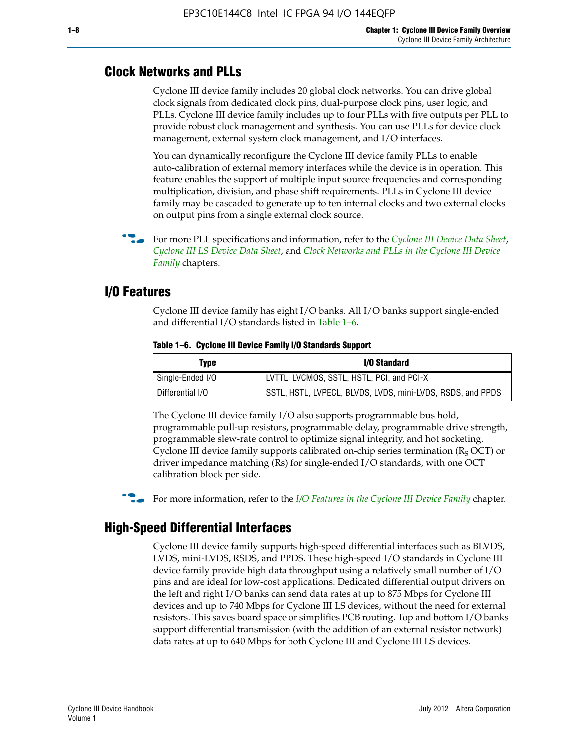#### **Clock Networks and PLLs**

Cyclone III device family includes 20 global clock networks. You can drive global clock signals from dedicated clock pins, dual-purpose clock pins, user logic, and PLLs. Cyclone III device family includes up to four PLLs with five outputs per PLL to provide robust clock management and synthesis. You can use PLLs for device clock management, external system clock management, and I/O interfaces.

You can dynamically reconfigure the Cyclone III device family PLLs to enable auto-calibration of external memory interfaces while the device is in operation. This feature enables the support of multiple input source frequencies and corresponding multiplication, division, and phase shift requirements. PLLs in Cyclone III device family may be cascaded to generate up to ten internal clocks and two external clocks on output pins from a single external clock source.

**For more PLL specifications and information, refer to the** *[Cyclone III Device Data Sheet](http://www.altera.com/literature/hb/cyc3/cyc3_ciii52001.pdf)***,** *[Cyclone III LS Device Data Sheet](http://www.altera.com/literature/hb/cyc3/cyc3_ciii52002.pdf)*, and *[Clock Networks and PLLs in the Cyclone III Device](http://www.altera.com/literature/hb/cyc3/cyc3_ciii51006.pdf)  [Family](http://www.altera.com/literature/hb/cyc3/cyc3_ciii51006.pdf)* chapters.

#### **I/O Features**

Cyclone III device family has eight I/O banks. All I/O banks support single-ended and differential I/O standards listed in Table 1–6.

| Type             | <b>I/O Standard</b>                                        |
|------------------|------------------------------------------------------------|
| Single-Ended I/O | LVTTL, LVCMOS, SSTL, HSTL, PCI, and PCI-X                  |
| Differential I/O | SSTL, HSTL, LVPECL, BLVDS, LVDS, mini-LVDS, RSDS, and PPDS |

**Table 1–6. Cyclone III Device Family I/O Standards Support** 

The Cyclone III device family I/O also supports programmable bus hold, programmable pull-up resistors, programmable delay, programmable drive strength, programmable slew-rate control to optimize signal integrity, and hot socketing. Cyclone III device family supports calibrated on-chip series termination ( $R_S$  OCT) or driver impedance matching (Rs) for single-ended I/O standards, with one OCT calibration block per side.

For more information, refer to the *[I/O Features in the Cyclone III Device Family](http://www.altera.com/literature/hb/cyc3/cyc3_ciii51007.pdf)* chapter.

#### **High-Speed Differential Interfaces**

Cyclone III device family supports high-speed differential interfaces such as BLVDS, LVDS, mini-LVDS, RSDS, and PPDS. These high-speed I/O standards in Cyclone III device family provide high data throughput using a relatively small number of I/O pins and are ideal for low-cost applications. Dedicated differential output drivers on the left and right I/O banks can send data rates at up to 875 Mbps for Cyclone III devices and up to 740 Mbps for Cyclone III LS devices, without the need for external resistors. This saves board space or simplifies PCB routing. Top and bottom I/O banks support differential transmission (with the addition of an external resistor network) data rates at up to 640 Mbps for both Cyclone III and Cyclone III LS devices.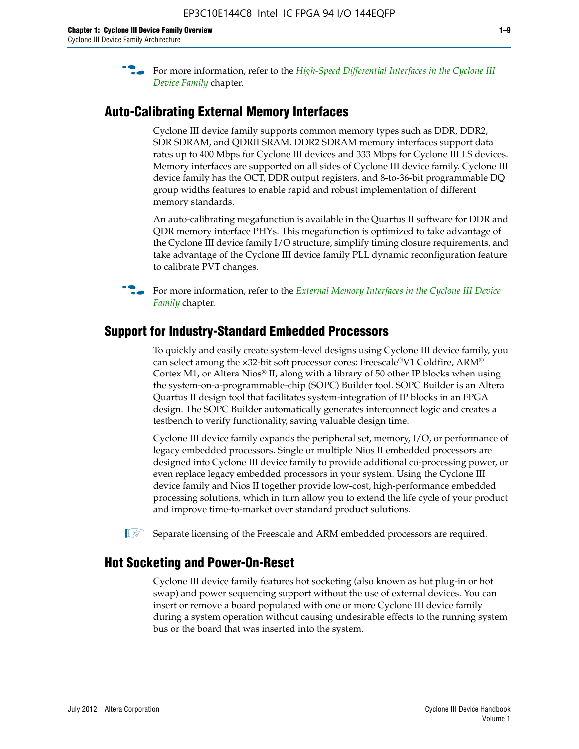**For more information, refer to the** *High-Speed Differential Interfaces in the Cyclone III* $\overline{a}$ *[Device Family](http://www.altera.com/literature/hb/cyc3/cyc3_ciii51008.pdf)* chapter.

#### **Auto-Calibrating External Memory Interfaces**

Cyclone III device family supports common memory types such as DDR, DDR2, SDR SDRAM, and QDRII SRAM. DDR2 SDRAM memory interfaces support data rates up to 400 Mbps for Cyclone III devices and 333 Mbps for Cyclone III LS devices. Memory interfaces are supported on all sides of Cyclone III device family. Cyclone III device family has the OCT, DDR output registers, and 8-to-36-bit programmable DQ group widths features to enable rapid and robust implementation of different memory standards.

An auto-calibrating megafunction is available in the Quartus II software for DDR and QDR memory interface PHYs. This megafunction is optimized to take advantage of the Cyclone III device family I/O structure, simplify timing closure requirements, and take advantage of the Cyclone III device family PLL dynamic reconfiguration feature to calibrate PVT changes.

**For more information, refer to the** *External Memory Interfaces in the Cyclone III Device [Family](http://www.altera.com/literature/hb/cyc3/cyc3_ciii51009.pdf)* chapter.

#### **Support for Industry-Standard Embedded Processors**

To quickly and easily create system-level designs using Cyclone III device family, you can select among the ×32-bit soft processor cores: Freescale®V1 Coldfire, ARM® Cortex M1, or Altera Nios® II, along with a library of 50 other IP blocks when using the system-on-a-programmable-chip (SOPC) Builder tool. SOPC Builder is an Altera Quartus II design tool that facilitates system-integration of IP blocks in an FPGA design. The SOPC Builder automatically generates interconnect logic and creates a testbench to verify functionality, saving valuable design time.

Cyclone III device family expands the peripheral set, memory, I/O, or performance of legacy embedded processors. Single or multiple Nios II embedded processors are designed into Cyclone III device family to provide additional co-processing power, or even replace legacy embedded processors in your system. Using the Cyclone III device family and Nios II together provide low-cost, high-performance embedded processing solutions, which in turn allow you to extend the life cycle of your product and improve time-to-market over standard product solutions.

 $\mathbb{I}$  Separate licensing of the Freescale and ARM embedded processors are required.

#### **Hot Socketing and Power-On-Reset**

Cyclone III device family features hot socketing (also known as hot plug-in or hot swap) and power sequencing support without the use of external devices. You can insert or remove a board populated with one or more Cyclone III device family during a system operation without causing undesirable effects to the running system bus or the board that was inserted into the system.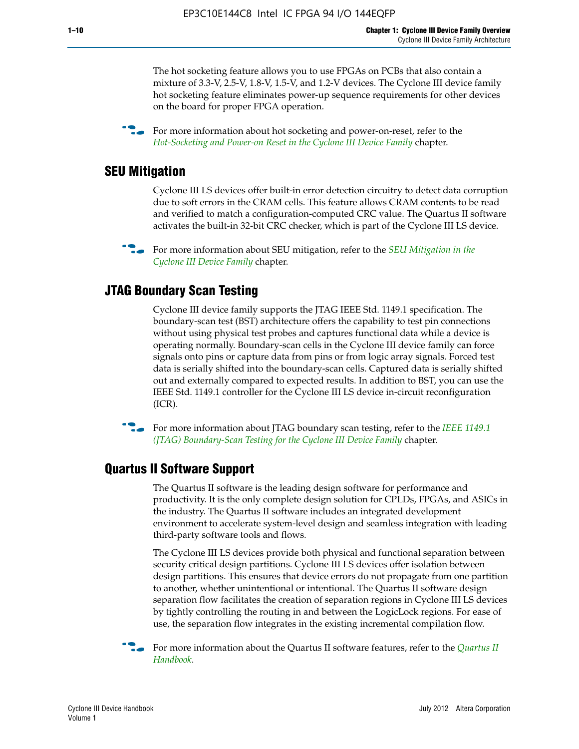The hot socketing feature allows you to use FPGAs on PCBs that also contain a mixture of 3.3-V, 2.5-V, 1.8-V, 1.5-V, and 1.2-V devices. The Cyclone III device family hot socketing feature eliminates power-up sequence requirements for other devices on the board for proper FPGA operation.

For more information about hot socketing and power-on-reset, refer to the *[Hot-Socketing and Power-on Reset in the Cyclone III Device Family](http://www.altera.com/literature/hb/cyc3/cyc3_ciii51011.pdf)* chapter.

#### **SEU Mitigation**

Cyclone III LS devices offer built-in error detection circuitry to detect data corruption due to soft errors in the CRAM cells. This feature allows CRAM contents to be read and verified to match a configuration-computed CRC value. The Quartus II software activates the built-in 32-bit CRC checker, which is part of the Cyclone III LS device.

**For more information about SEU mitigation, refer to the** *SEU Mitigation in the [Cyclone III Device Family](http://www.altera.com/literature/hb/cyc3/cyc3_ciii51013.pdf)* chapter.

#### **JTAG Boundary Scan Testing**

Cyclone III device family supports the JTAG IEEE Std. 1149.1 specification. The boundary-scan test (BST) architecture offers the capability to test pin connections without using physical test probes and captures functional data while a device is operating normally. Boundary-scan cells in the Cyclone III device family can force signals onto pins or capture data from pins or from logic array signals. Forced test data is serially shifted into the boundary-scan cells. Captured data is serially shifted out and externally compared to expected results. In addition to BST, you can use the IEEE Std. 1149.1 controller for the Cyclone III LS device in-circuit reconfiguration (ICR).

**f f**or more information about JTAG boundary scan testing, refer to the *IEEE* 1149.1 *[\(JTAG\) Boundary-Scan Testing for the Cyclone III Device Family](http://www.altera.com/literature/hb/cyc3/cyc3_ciii51014.pdf)* chapter.

#### **Quartus II Software Support**

The Quartus II software is the leading design software for performance and productivity. It is the only complete design solution for CPLDs, FPGAs, and ASICs in the industry. The Quartus II software includes an integrated development environment to accelerate system-level design and seamless integration with leading third-party software tools and flows.

The Cyclone III LS devices provide both physical and functional separation between security critical design partitions. Cyclone III LS devices offer isolation between design partitions. This ensures that device errors do not propagate from one partition to another, whether unintentional or intentional. The Quartus II software design separation flow facilitates the creation of separation regions in Cyclone III LS devices by tightly controlling the routing in and between the LogicLock regions. For ease of use, the separation flow integrates in the existing incremental compilation flow.

f For more information about the Quartus II software features, refer to the *[Quartus II](http://www.altera.com/literature/hb/qts/quartusii_handbook.pdf)  [Handbook](http://www.altera.com/literature/hb/qts/quartusii_handbook.pdf)*.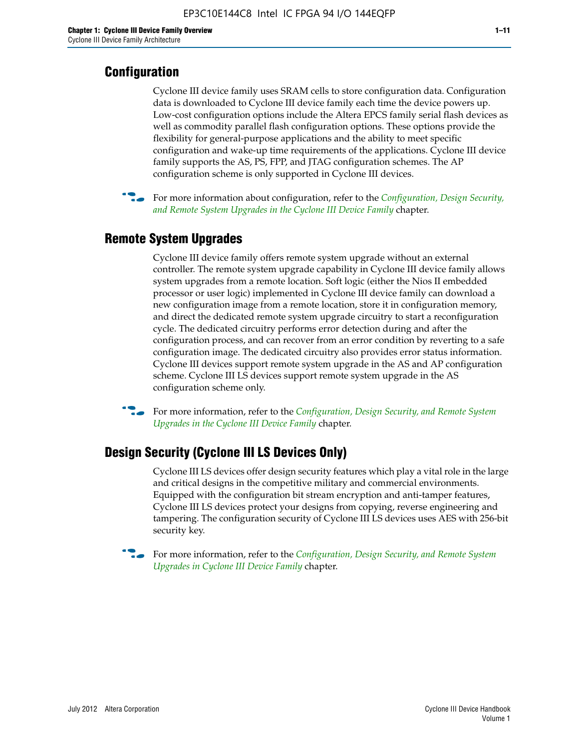## **Configuration**

Cyclone III device family uses SRAM cells to store configuration data. Configuration data is downloaded to Cyclone III device family each time the device powers up. Low-cost configuration options include the Altera EPCS family serial flash devices as well as commodity parallel flash configuration options. These options provide the flexibility for general-purpose applications and the ability to meet specific configuration and wake-up time requirements of the applications. Cyclone III device family supports the AS, PS, FPP, and JTAG configuration schemes. The AP configuration scheme is only supported in Cyclone III devices.



f For more information about configuration, refer to the *[Configuration, Design Security,](http://www.altera.com/literature/hb/cyc3/cyc3_ciii51016.pdf)  [and Remote System Upgrades in the Cyclone III Device Family](http://www.altera.com/literature/hb/cyc3/cyc3_ciii51016.pdf)* chapter.

## **Remote System Upgrades**

Cyclone III device family offers remote system upgrade without an external controller. The remote system upgrade capability in Cyclone III device family allows system upgrades from a remote location. Soft logic (either the Nios II embedded processor or user logic) implemented in Cyclone III device family can download a new configuration image from a remote location, store it in configuration memory, and direct the dedicated remote system upgrade circuitry to start a reconfiguration cycle. The dedicated circuitry performs error detection during and after the configuration process, and can recover from an error condition by reverting to a safe configuration image. The dedicated circuitry also provides error status information. Cyclone III devices support remote system upgrade in the AS and AP configuration scheme. Cyclone III LS devices support remote system upgrade in the AS configuration scheme only.

**For more information, refer to the** *Configuration, Design Security, and Remote System [Upgrades in the Cyclone III Device Family](http://www.altera.com/literature/hb/cyc3/cyc3_ciii51016.pdf)* chapter.

## **Design Security (Cyclone III LS Devices Only)**

Cyclone III LS devices offer design security features which play a vital role in the large and critical designs in the competitive military and commercial environments. Equipped with the configuration bit stream encryption and anti-tamper features, Cyclone III LS devices protect your designs from copying, reverse engineering and tampering. The configuration security of Cyclone III LS devices uses AES with 256-bit security key.

f For more information, refer to the *[Configuration, Design Security, and Remote System](http://www.altera.com/literature/hb/cyc3/cyc3_ciii51016.pdf)  [Upgrades in Cyclone III Device Family](http://www.altera.com/literature/hb/cyc3/cyc3_ciii51016.pdf)* chapter.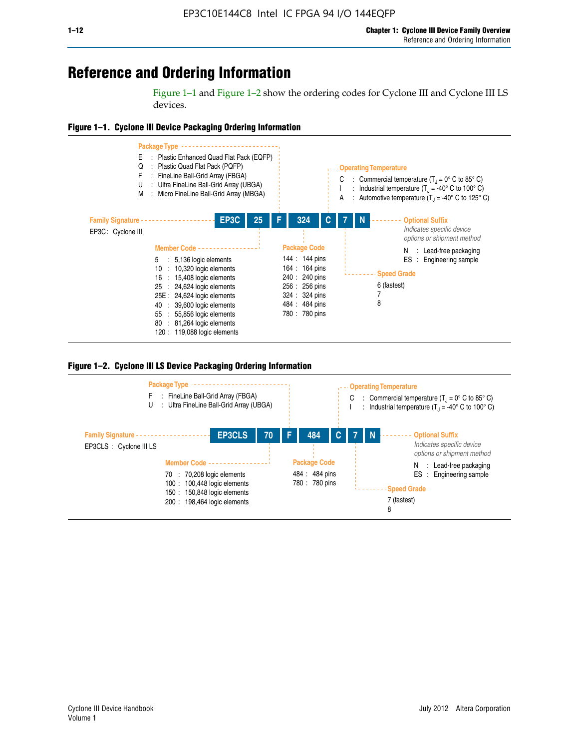## **Reference and Ordering Information**

Figure 1–1 and Figure 1–2 show the ordering codes for Cyclone III and Cyclone III LS devices.







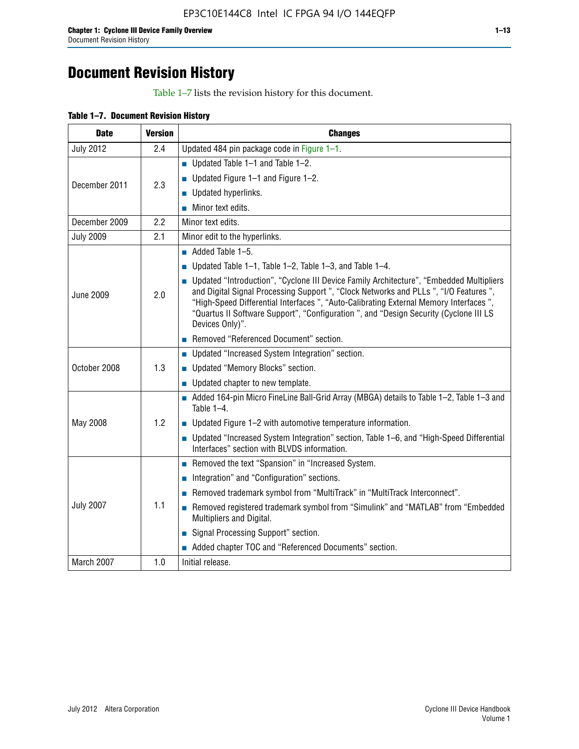# **Document Revision History**

Table 1–7 lists the revision history for this document.

| Table 1-7. Document Revision History |
|--------------------------------------|
|--------------------------------------|

| <b>Date</b>      | <b>Version</b> | <b>Changes</b>                                                                                                                                                                                                                                                                                                                                                                          |
|------------------|----------------|-----------------------------------------------------------------------------------------------------------------------------------------------------------------------------------------------------------------------------------------------------------------------------------------------------------------------------------------------------------------------------------------|
| <b>July 2012</b> | 2.4            | Updated 484 pin package code in Figure 1-1.                                                                                                                                                                                                                                                                                                                                             |
|                  |                | ■ Updated Table $1-1$ and Table $1-2$ .                                                                                                                                                                                                                                                                                                                                                 |
| December 2011    | 2.3            | ■ Updated Figure $1-1$ and Figure $1-2$ .                                                                                                                                                                                                                                                                                                                                               |
|                  |                | Updated hyperlinks.                                                                                                                                                                                                                                                                                                                                                                     |
|                  |                | Minor text edits.                                                                                                                                                                                                                                                                                                                                                                       |
| December 2009    | 2.2            | Minor text edits.                                                                                                                                                                                                                                                                                                                                                                       |
| <b>July 2009</b> | 2.1            | Minor edit to the hyperlinks.                                                                                                                                                                                                                                                                                                                                                           |
|                  |                | $\blacksquare$ Added Table 1-5.                                                                                                                                                                                                                                                                                                                                                         |
|                  |                | ■ Updated Table 1–1, Table 1–2, Table 1–3, and Table 1–4.                                                                                                                                                                                                                                                                                                                               |
| <b>June 2009</b> | 2.0            | • Updated "Introduction", "Cyclone III Device Family Architecture", "Embedded Multipliers<br>and Digital Signal Processing Support ", "Clock Networks and PLLs ", "I/O Features ",<br>"High-Speed Differential Interfaces ", "Auto-Calibrating External Memory Interfaces",<br>"Quartus II Software Support", "Configuration ", and "Design Security (Cyclone III LS<br>Devices Only)". |
|                  |                | Removed "Referenced Document" section.                                                                                                                                                                                                                                                                                                                                                  |
|                  |                | • Updated "Increased System Integration" section.                                                                                                                                                                                                                                                                                                                                       |
| October 2008     | 1.3            | Updated "Memory Blocks" section.                                                                                                                                                                                                                                                                                                                                                        |
|                  |                | • Updated chapter to new template.                                                                                                                                                                                                                                                                                                                                                      |
|                  |                | Added 164-pin Micro FineLine Ball-Grid Array (MBGA) details to Table 1-2, Table 1-3 and<br>Table $1-4$ .                                                                                                                                                                                                                                                                                |
| May 2008         | 1.2            | $\blacksquare$ Updated Figure 1-2 with automotive temperature information.                                                                                                                                                                                                                                                                                                              |
|                  |                | • Updated "Increased System Integration" section, Table 1-6, and "High-Speed Differential<br>Interfaces" section with BLVDS information.                                                                                                                                                                                                                                                |
|                  |                | Removed the text "Spansion" in "Increased System.                                                                                                                                                                                                                                                                                                                                       |
|                  |                | Integration" and "Configuration" sections.                                                                                                                                                                                                                                                                                                                                              |
|                  |                | Removed trademark symbol from "MultiTrack" in "MultiTrack Interconnect".                                                                                                                                                                                                                                                                                                                |
| <b>July 2007</b> | 1.1            | Removed registered trademark symbol from "Simulink" and "MATLAB" from "Embedded<br>Multipliers and Digital.                                                                                                                                                                                                                                                                             |
|                  |                | Signal Processing Support" section.                                                                                                                                                                                                                                                                                                                                                     |
|                  |                | Added chapter TOC and "Referenced Documents" section.                                                                                                                                                                                                                                                                                                                                   |
| March 2007       | 1.0            | Initial release.                                                                                                                                                                                                                                                                                                                                                                        |